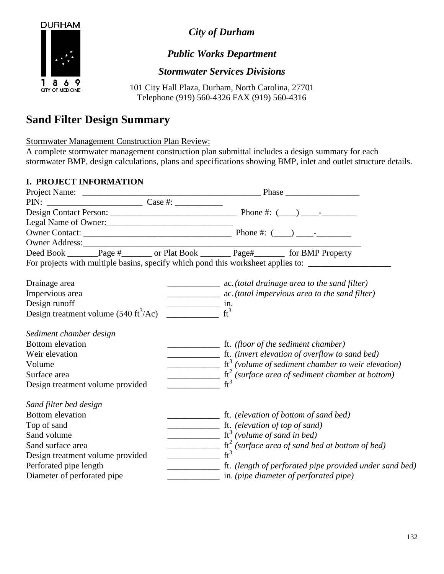

*City of Durham*

## *Public Works Department*

## *Stormwater Services Divisions*

101 City Hall Plaza, Durham, North Carolina, 27701 Telephone (919) 560-4326 FAX (919) 560-4316

# **Sand Filter Design Summary**

Stormwater Management Construction Plan Review:

A complete stormwater management construction plan submittal includes a design summary for each stormwater BMP, design calculations, plans and specifications showing BMP, inlet and outlet structure details.

#### **I. PROJECT INFORMATION**

| Owner Address:                                         |                                                                                                                                                                                                                                                                                                                                                                                                                                   |
|--------------------------------------------------------|-----------------------------------------------------------------------------------------------------------------------------------------------------------------------------------------------------------------------------------------------------------------------------------------------------------------------------------------------------------------------------------------------------------------------------------|
|                                                        | Deed Book _______Page #_______ or Plat Book ________Page#_________ for BMP Property                                                                                                                                                                                                                                                                                                                                               |
|                                                        | For projects with multiple basins, specify which pond this worksheet applies to: ___________________                                                                                                                                                                                                                                                                                                                              |
| Drainage area                                          |                                                                                                                                                                                                                                                                                                                                                                                                                                   |
| Impervious area                                        |                                                                                                                                                                                                                                                                                                                                                                                                                                   |
| Design runoff                                          | $\frac{1}{\text{min}}$ in.                                                                                                                                                                                                                                                                                                                                                                                                        |
| Design treatment volume $(540 \text{ ft}^3/\text{Ac})$ | $ft^3$                                                                                                                                                                                                                                                                                                                                                                                                                            |
| Sediment chamber design                                |                                                                                                                                                                                                                                                                                                                                                                                                                                   |
| <b>Bottom</b> elevation                                |                                                                                                                                                                                                                                                                                                                                                                                                                                   |
| Weir elevation                                         | ft. (invert elevation of overflow to sand bed)                                                                                                                                                                                                                                                                                                                                                                                    |
| Volume                                                 | $\frac{1}{\sqrt{1-\frac{1}{\sqrt{1-\frac{1}{\sqrt{1-\frac{1}{\sqrt{1-\frac{1}{\sqrt{1-\frac{1}{\sqrt{1-\frac{1}{\sqrt{1-\frac{1}{\sqrt{1-\frac{1}{\sqrt{1-\frac{1}{\sqrt{1-\frac{1}{\sqrt{1-\frac{1}{\sqrt{1-\frac{1}{\sqrt{1-\frac{1}{\sqrt{1-\frac{1}{\sqrt{1-\frac{1}{\sqrt{1-\frac{1}{\sqrt{1-\frac{1}{\sqrt{1-\frac{1}{\sqrt{1-\frac{1}{\sqrt{1-\frac{1}{\sqrt{1-\frac{1}{\sqrt{1-\frac{1}{\sqrt{1-\frac{1}{\sqrt{1-\frac{1$ |
| Surface area                                           | $\frac{1}{\text{ft}^2}$ (surface area of sediment chamber at bottom)                                                                                                                                                                                                                                                                                                                                                              |
| Design treatment volume provided                       | $ft^3$                                                                                                                                                                                                                                                                                                                                                                                                                            |
| Sand filter bed design                                 |                                                                                                                                                                                                                                                                                                                                                                                                                                   |
| <b>Bottom</b> elevation                                |                                                                                                                                                                                                                                                                                                                                                                                                                                   |
| Top of sand                                            | ft. (elevation of top of sand)                                                                                                                                                                                                                                                                                                                                                                                                    |
| Sand volume                                            | $\frac{1}{\sqrt{1-x^2}}$ ft <sup>3</sup> (volume of sand in bed)                                                                                                                                                                                                                                                                                                                                                                  |
| Sand surface area                                      | $\frac{1}{\sqrt{1-\frac{1}{\sqrt{1-\frac{1}{\sqrt{1-\frac{1}{\sqrt{1-\frac{1}{\sqrt{1-\frac{1}{\sqrt{1-\frac{1}{\sqrt{1-\frac{1}{\sqrt{1-\frac{1}{\sqrt{1-\frac{1}{\sqrt{1-\frac{1}{\sqrt{1-\frac{1}{\sqrt{1-\frac{1}{\sqrt{1-\frac{1}{\sqrt{1-\frac{1}{\sqrt{1-\frac{1}{\sqrt{1-\frac{1}{\sqrt{1-\frac{1}{\sqrt{1-\frac{1}{\sqrt{1-\frac{1}{\sqrt{1-\frac{1}{\sqrt{1-\frac{1}{\sqrt{1-\frac{1}{\sqrt{1-\frac{1}{\sqrt{1-\frac{1$ |
| Design treatment volume provided                       | $ft^3$                                                                                                                                                                                                                                                                                                                                                                                                                            |
| Perforated pipe length                                 | ft. (length of perforated pipe provided under sand bed)                                                                                                                                                                                                                                                                                                                                                                           |
| Diameter of perforated pipe                            | $\frac{1}{\sqrt{1-\frac{1}{\sqrt{1-\frac{1}{\sqrt{1-\frac{1}{\sqrt{1-\frac{1}{\sqrt{1-\frac{1}{\sqrt{1-\frac{1}{\sqrt{1-\frac{1}{\sqrt{1-\frac{1}{\sqrt{1-\frac{1}{\sqrt{1-\frac{1}{\sqrt{1-\frac{1}{\sqrt{1-\frac{1}{\sqrt{1-\frac{1}{\sqrt{1-\frac{1}{\sqrt{1-\frac{1}{\sqrt{1-\frac{1}{\sqrt{1-\frac{1}{\sqrt{1-\frac{1}{\sqrt{1-\frac{1}{\sqrt{1-\frac{1}{\sqrt{1-\frac{1}{\sqrt{1-\frac{1}{\sqrt{1-\frac{1}{\sqrt{1-\frac{1$ |